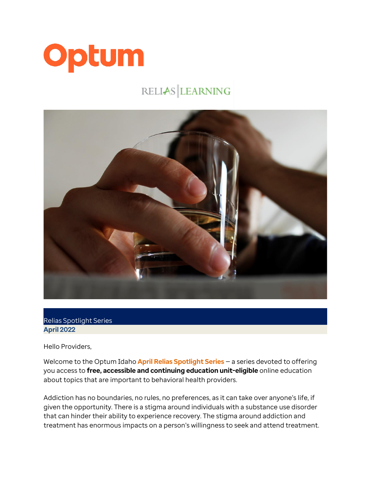

## RELIAS LEARNING



Relias Spotlight Series **April 2022**

Hello Providers,

Welcome to the Optum Idaho **April Relias Spotlight Series** — a series devoted to offering you access to **free, accessible and continuing education unit-eligible** online education about topics that are important to behavioral health providers.

Addiction has no boundaries, no rules, no preferences, as it can take over anyone's life, if given the opportunity. There is a stigma around individuals with a substance use disorder that can hinder their ability to experience recovery. The stigma around addiction and treatment has enormous impacts on a person's willingness to seek and attend treatment.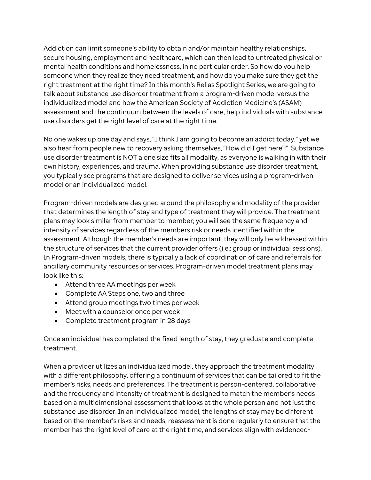Addiction can limit someone's ability to obtain and/or maintain healthy relationships, secure housing, employment and healthcare, which can then lead to untreated physical or mental health conditions and homelessness, in no particular order. So how do you help someone when they realize they need treatment, and how do you make sure they get the right treatment at the right time? In this month's Relias Spotlight Series, we are going to talk about substance use disorder treatment from a program-driven model versus the individualized model and how the American Society of Addiction Medicine's (ASAM) assessment and the continuum between the levels of care, help individuals with substance use disorders get the right level of care at the right time.

No one wakes up one day and says, "I think I am going to become an addict today," yet we also hear from people new to recovery asking themselves, "How did I get here?" Substance use disorder treatment is NOT a one size fits all modality, as everyone is walking in with their own history, experiences, and trauma. When providing substance use disorder treatment, you typically see programs that are designed to deliver services using a program-driven model or an individualized model.

Program-driven models are designed around the philosophy and modality of the provider that determines the length of stay and type of treatment they will provide. The treatment plans may look similar from member to member; you will see the same frequency and intensity of services regardless of the members risk or needs identified within the assessment. Although the member's needs are important, they will only be addressed within the structure of services that the current provider offers (i.e.: group or individual sessions). In Program-driven models, there is typically a lack of coordination of care and referrals for ancillary community resources or services. Program-driven model treatment plans may look like this:

- Attend three AA meetings per week
- Complete AA Steps one, two and three
- Attend group meetings two times per week
- Meet with a counselor once per week
- Complete treatment program in 28 days

Once an individual has completed the fixed length of stay, they graduate and complete treatment.

When a provider utilizes an individualized model, they approach the treatment modality with a different philosophy, offering a continuum of services that can be tailored to fit the member's risks, needs and preferences. The treatment is person-centered, collaborative and the frequency and intensity of treatment is designed to match the member's needs based on a multidimensional assessment that looks at the whole person and not just the substance use disorder. In an individualized model, the lengths of stay may be different based on the member's risks and needs; reassessment is done regularly to ensure that the member has the right level of care at the right time, and services align with evidenced-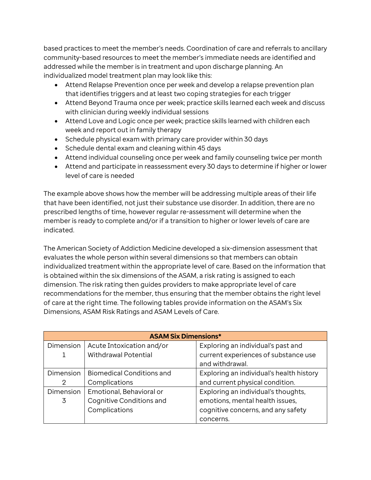based practices to meet the member's needs. Coordination of care and referrals to ancillary community-based resources to meet the member's immediate needs are identified and addressed while the member is in treatment and upon discharge planning. An individualized model treatment plan may look like this:

- Attend Relapse Prevention once per week and develop a relapse prevention plan that identifies triggers and at least two coping strategies for each trigger
- Attend Beyond Trauma once per week; practice skills learned each week and discuss with clinician during weekly individual sessions
- Attend Love and Logic once per week; practice skills learned with children each week and report out in family therapy
- Schedule physical exam with primary care provider within 30 days
- Schedule dental exam and cleaning within 45 days
- Attend individual counseling once per week and family counseling twice per month
- Attend and participate in reassessment every 30 days to determine if higher or lower level of care is needed

The example above shows how the member will be addressing multiple areas of their life that have been identified, not just their substance use disorder. In addition, there are no prescribed lengths of time, however regular re-assessment will determine when the member is ready to complete and/or if a transition to higher or lower levels of care are indicated.

The American Society of Addiction Medicine developed a six-dimension assessment that evaluates the whole person within several dimensions so that members can obtain individualized treatment within the appropriate level of care. Based on the information that is obtained within the six dimensions of the ASAM, a risk rating is assigned to each dimension. The risk rating then guides providers to make appropriate level of care recommendations for the member, thus ensuring that the member obtains the right level of care at the right time. The following tables provide information on the ASAM's Six Dimensions, ASAM Risk Ratings and ASAM Levels of Care.

| <b>ASAM Six Dimensions*</b> |                                  |                                          |  |  |
|-----------------------------|----------------------------------|------------------------------------------|--|--|
| Dimension                   | Acute Intoxication and/or        | Exploring an individual's past and       |  |  |
|                             | Withdrawal Potential             | current experiences of substance use     |  |  |
|                             |                                  | and withdrawal.                          |  |  |
| Dimension                   | <b>Biomedical Conditions and</b> | Exploring an individual's health history |  |  |
| 2                           | Complications                    | and current physical condition.          |  |  |
| Dimension                   | Emotional, Behavioral or         | Exploring an individual's thoughts,      |  |  |
| 3                           | Cognitive Conditions and         | emotions, mental health issues,          |  |  |
|                             | Complications                    | cognitive concerns, and any safety       |  |  |
|                             |                                  | concerns.                                |  |  |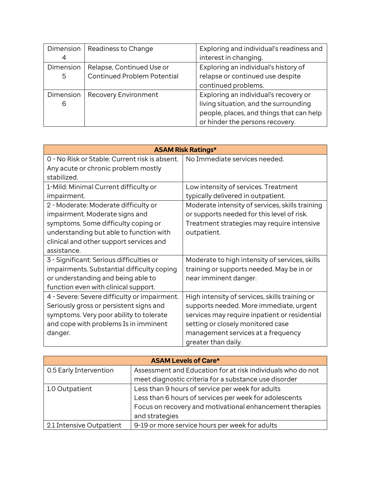| Dimension | Readiness to Change                | Exploring and individual's readiness and |
|-----------|------------------------------------|------------------------------------------|
| 4         |                                    | interest in changing.                    |
| Dimension | Relapse, Continued Use or          | Exploring an individual's history of     |
| 5         | <b>Continued Problem Potential</b> | relapse or continued use despite         |
|           |                                    | continued problems.                      |
| Dimension | Recovery Environment               | Exploring an individual's recovery or    |
| 6         |                                    | living situation, and the surrounding    |
|           |                                    | people, places, and things that can help |
|           |                                    | or hinder the persons recovery.          |

| <b>ASAM Risk Ratings*</b>                      |                                                 |  |  |  |
|------------------------------------------------|-------------------------------------------------|--|--|--|
| 0 - No Risk or Stable: Current risk is absent. | No Immediate services needed.                   |  |  |  |
| Any acute or chronic problem mostly            |                                                 |  |  |  |
| stabilized.                                    |                                                 |  |  |  |
| 1-Mild: Minimal Current difficulty or          | Low intensity of services. Treatment            |  |  |  |
| impairment.                                    | typically delivered in outpatient.              |  |  |  |
| 2 - Moderate: Moderate difficulty or           | Moderate intensity of services, skills training |  |  |  |
| impairment. Moderate signs and                 | or supports needed for this level of risk.      |  |  |  |
| symptoms. Some difficulty coping or            | Treatment strategies may require intensive      |  |  |  |
| understanding but able to function with        | outpatient.                                     |  |  |  |
| clinical and other support services and        |                                                 |  |  |  |
| assistance.                                    |                                                 |  |  |  |
| 3 - Significant: Serious difficulties or       | Moderate to high intensity of services, skills  |  |  |  |
| impairments. Substantial difficulty coping     | training or supports needed. May be in or       |  |  |  |
| or understanding and being able to             | near imminent danger.                           |  |  |  |
| function even with clinical support.           |                                                 |  |  |  |
| 4 - Severe: Severe difficulty or impairment.   | High intensity of services, skills training or  |  |  |  |
| Seriously gross or persistent signs and        | supports needed. More immediate, urgent         |  |  |  |
| symptoms. Very poor ability to tolerate        | services may require inpatient or residential   |  |  |  |
| and cope with problems Is in imminent          | setting or closely monitored case               |  |  |  |
| danger.                                        | management services at a frequency              |  |  |  |
|                                                | greater than daily.                             |  |  |  |

| <b>ASAM Levels of Care*</b> |                                                             |  |  |  |
|-----------------------------|-------------------------------------------------------------|--|--|--|
| 0.5 Early Intervention      | Assessment and Education for at risk individuals who do not |  |  |  |
|                             | meet diagnostic criteria for a substance use disorder       |  |  |  |
| 1.0 Outpatient              | Less than 9 hours of service per week for adults            |  |  |  |
|                             | Less than 6 hours of services per week for adolescents      |  |  |  |
|                             | Focus on recovery and motivational enhancement therapies    |  |  |  |
|                             | and strategies                                              |  |  |  |
| 2.1 Intensive Outpatient    | 9-19 or more service hours per week for adults              |  |  |  |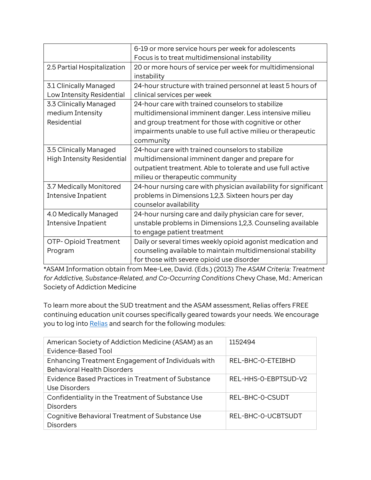|                                   | 6-19 or more service hours per week for adolescents              |
|-----------------------------------|------------------------------------------------------------------|
|                                   | Focus is to treat multidimensional instability                   |
| 2.5 Partial Hospitalization       | 20 or more hours of service per week for multidimensional        |
|                                   | instability                                                      |
| 3.1 Clinically Managed            | 24-hour structure with trained personnel at least 5 hours of     |
| Low Intensity Residential         | clinical services per week                                       |
| 3.3 Clinically Managed            | 24-hour care with trained counselors to stabilize                |
| medium Intensity                  | multidimensional imminent danger. Less intensive milieu          |
| Residential                       | and group treatment for those with cognitive or other            |
|                                   | impairments unable to use full active milieu or therapeutic      |
|                                   | community                                                        |
| 3.5 Clinically Managed            | 24-hour care with trained counselors to stabilize                |
| <b>High Intensity Residential</b> | multidimensional imminent danger and prepare for                 |
|                                   | outpatient treatment. Able to tolerate and use full active       |
|                                   | milieu or therapeutic community                                  |
| 3.7 Medically Monitored           | 24-hour nursing care with physician availability for significant |
| Intensive Inpatient               | problems in Dimensions 1,2,3. Sixteen hours per day              |
|                                   | counselor availability                                           |
| 4.0 Medically Managed             | 24-hour nursing care and daily physician care for sever,         |
| Intensive Inpatient               | unstable problems in Dimensions 1,2,3. Counseling available      |
|                                   | to engage patient treatment                                      |
| OTP-Opioid Treatment              | Daily or several times weekly opioid agonist medication and      |
| Program                           | counseling available to maintain multidimensional stability      |
|                                   | for those with severe opioid use disorder                        |

\*ASAM Information obtain from Mee-Lee, David. (Eds.) (2013) *The ASAM Criteria: Treatment for Addictive, Substance-Related, and Co-Occurring Conditions* Chevy Chase, Md.: American Society of Addiction Medicine

To learn more about the SUD treatment and the ASAM assessment, Relias offers FREE continuing education unit courses specifically geared towards your needs. We encourage you to log into [Relias](https://optumidaho.training.reliaslearning.com/Users/Users.aspx) and search for the following modules:

| American Society of Addiction Medicine (ASAM) as an<br>Evidence-Based Tool               | 1152494              |
|------------------------------------------------------------------------------------------|----------------------|
| Enhancing Treatment Engagement of Individuals with<br><b>Behavioral Health Disorders</b> | REL-BHC-O-ETEIBHD    |
| Evidence Based Practices in Treatment of Substance<br>Use Disorders                      | REL-HHS-0-EBPTSUD-V2 |
| Confidentiality in the Treatment of Substance Use<br><b>Disorders</b>                    | REL-BHC-0-CSUDT      |
| Cognitive Behavioral Treatment of Substance Use<br><b>Disorders</b>                      | REL-BHC-0-UCBTSUDT   |